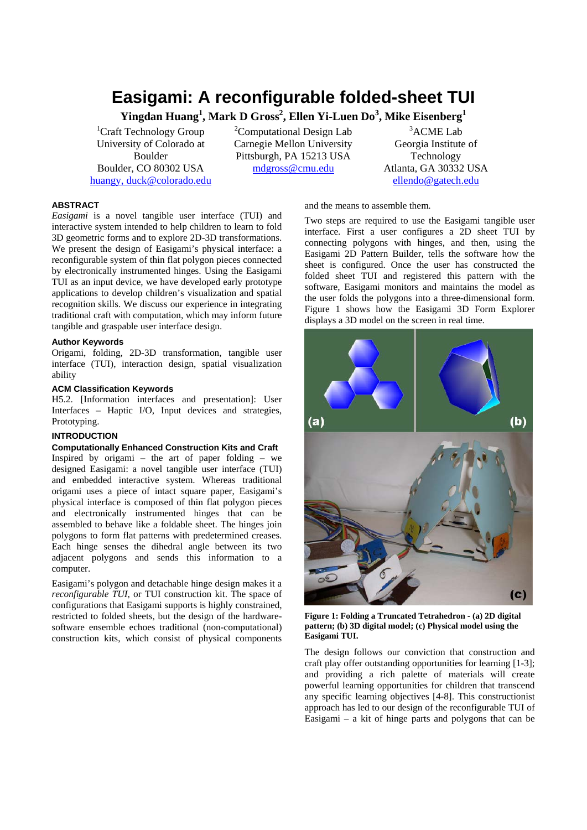# **Easigami: A reconfigurable folded-sheet TUI**

**Yingdan Huang<sup>1</sup> , Mark D Gross2 , Ellen Yi-Luen Do<sup>3</sup> , Mike Eisenberg<sup>1</sup>**

<sup>1</sup>Craft Technology Group University of Colorado at Boulder Boulder, CO 80302 USA huangy, duck@colorado.edu <sup>2</sup>Computational Design Lab Carnegie Mellon University Pittsburgh, PA 15213 USA mdgross@cmu.edu

3 ACME Lab Georgia Institute of Technology Atlanta, GA 30332 USA ellendo@gatech.edu

## **ABSTRACT**

*Easigami* is a novel tangible user interface (TUI) and interactive system intended to help children to learn to fold 3D geometric forms and to explore 2D-3D transformations. We present the design of Easigami's physical interface: a reconfigurable system of thin flat polygon pieces connected by electronically instrumented hinges. Using the Easigami TUI as an input device, we have developed early prototype applications to develop children's visualization and spatial recognition skills. We discuss our experience in integrating traditional craft with computation, which may inform future tangible and graspable user interface design.

# **Author Keywords**

Origami, folding, 2D-3D transformation, tangible user interface (TUI), interaction design, spatial visualization ability

# **ACM Classification Keywords**

H5.2. [Information interfaces and presentation]: User Interfaces – Haptic I/O, Input devices and strategies, Prototyping.

# **INTRODUCTION**

**Computationally Enhanced Construction Kits and Craft** Inspired by origami – the art of paper folding – we designed Easigami: a novel tangible user interface (TUI) and embedded interactive system. Whereas traditional origami uses a piece of intact square paper, Easigami's physical interface is composed of thin flat polygon pieces and electronically instrumented hinges that can be assembled to behave like a foldable sheet. The hinges join polygons to form flat patterns with predetermined creases. Each hinge senses the dihedral angle between its two adjacent polygons and sends this information to a computer.

Easigami's polygon and detachable hinge design makes it a *reconfigurable TUI,* or TUI construction kit. The space of configurations that Easigami supports is highly constrained, restricted to folded sheets, but the design of the hardwaresoftware ensemble echoes traditional (non-computational) construction kits, which consist of physical components

and the means to assemble them.

Two steps are required to use the Easigami tangible user interface. First a user configures a 2D sheet TUI by connecting polygons with hinges, and then, using the Easigami 2D Pattern Builder, tells the software how the sheet is configured. Once the user has constructed the folded sheet TUI and registered this pattern with the software, Easigami monitors and maintains the model as the user folds the polygons into a three-dimensional form. Figure 1 shows how the Easigami 3D Form Explorer displays a 3D model on the screen in real time.



**Figure 1: Folding a Truncated Tetrahedron - (a) 2D digital pattern; (b) 3D digital model; (c) Physical model using the Easigami TUI.** 

The design follows our conviction that construction and craft play offer outstanding opportunities for learning [1-3]; and providing a rich palette of materials will create powerful learning opportunities for children that transcend any specific learning objectives [4-8]. This constructionist approach has led to our design of the reconfigurable TUI of Easigami – a kit of hinge parts and polygons that can be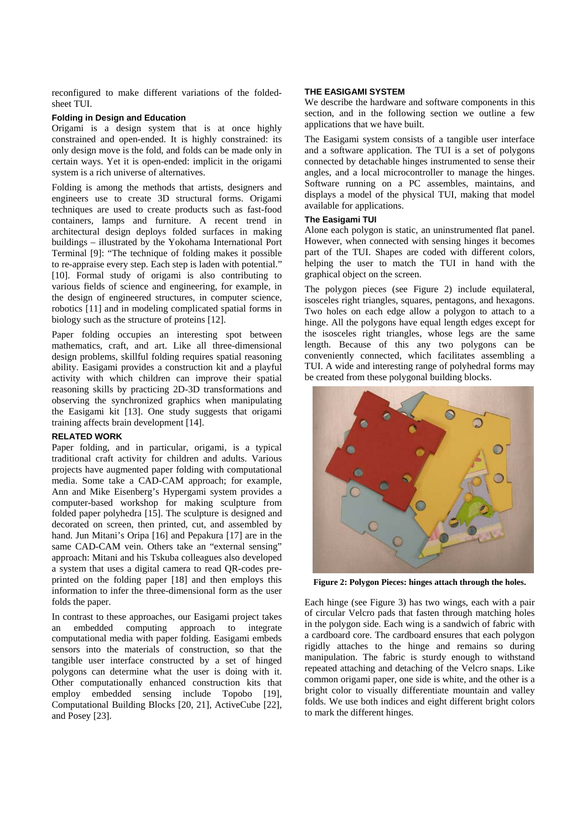reconfigured to make different variations of the foldedsheet TUI.

## **Folding in Design and Education**

Origami is a design system that is at once highly constrained and open-ended. It is highly constrained: its only design move is the fold, and folds can be made only in certain ways. Yet it is open-ended: implicit in the origami system is a rich universe of alternatives.

Folding is among the methods that artists, designers and engineers use to create 3D structural forms. Origami techniques are used to create products such as fast-food containers, lamps and furniture. A recent trend in architectural design deploys folded surfaces in making buildings – illustrated by the Yokohama International Port Terminal [9]: "The technique of folding makes it possible to re-appraise every step. Each step is laden with potential." [10]. Formal study of origami is also contributing to various fields of science and engineering, for example, in the design of engineered structures, in computer science, robotics [11] and in modeling complicated spatial forms in biology such as the structure of proteins [12].

Paper folding occupies an interesting spot between mathematics, craft, and art. Like all three-dimensional design problems, skillful folding requires spatial reasoning ability. Easigami provides a construction kit and a playful activity with which children can improve their spatial reasoning skills by practicing 2D-3D transformations and observing the synchronized graphics when manipulating the Easigami kit [13]. One study suggests that origami training affects brain development [14].

## **RELATED WORK**

Paper folding, and in particular, origami, is a typical traditional craft activity for children and adults. Various projects have augmented paper folding with computational media. Some take a CAD-CAM approach; for example, Ann and Mike Eisenberg's Hypergami system provides a computer-based workshop for making sculpture from folded paper polyhedra [15]. The sculpture is designed and decorated on screen, then printed, cut, and assembled by hand. Jun Mitani's Oripa [16] and Pepakura [17] are in the same CAD-CAM vein. Others take an "external sensing" approach: Mitani and his Tskuba colleagues also developed a system that uses a digital camera to read QR-codes preprinted on the folding paper [18] and then employs this information to infer the three-dimensional form as the user folds the paper.

In contrast to these approaches, our Easigami project takes an embedded computing approach to integrate computational media with paper folding. Easigami embeds sensors into the materials of construction, so that the tangible user interface constructed by a set of hinged polygons can determine what the user is doing with it. Other computationally enhanced construction kits that employ embedded sensing include Topobo [19], Computational Building Blocks [20, 21], ActiveCube [22], and Posey [23].

## **THE EASIGAMI SYSTEM**

We describe the hardware and software components in this section, and in the following section we outline a few applications that we have built.

The Easigami system consists of a tangible user interface and a software application. The TUI is a set of polygons connected by detachable hinges instrumented to sense their angles, and a local microcontroller to manage the hinges. Software running on a PC assembles, maintains, and displays a model of the physical TUI, making that model available for applications.

## **The Easigami TUI**

Alone each polygon is static, an uninstrumented flat panel. However, when connected with sensing hinges it becomes part of the TUI. Shapes are coded with different colors, helping the user to match the TUI in hand with the graphical object on the screen.

The polygon pieces (see Figure 2) include equilateral, isosceles right triangles, squares, pentagons, and hexagons. Two holes on each edge allow a polygon to attach to a hinge. All the polygons have equal length edges except for the isosceles right triangles, whose legs are the same length. Because of this any two polygons can be conveniently connected, which facilitates assembling a TUI. A wide and interesting range of polyhedral forms may be created from these polygonal building blocks.



**Figure 2: Polygon Pieces: hinges attach through the holes.** 

Each hinge (see Figure 3) has two wings, each with a pair of circular Velcro pads that fasten through matching holes in the polygon side. Each wing is a sandwich of fabric with a cardboard core. The cardboard ensures that each polygon rigidly attaches to the hinge and remains so during manipulation. The fabric is sturdy enough to withstand repeated attaching and detaching of the Velcro snaps. Like common origami paper, one side is white, and the other is a bright color to visually differentiate mountain and valley folds. We use both indices and eight different bright colors to mark the different hinges.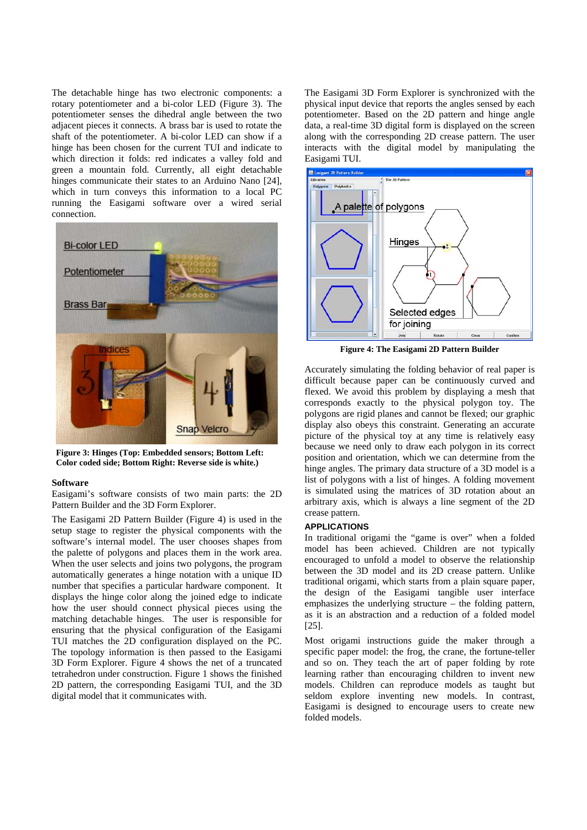The detachable hinge has two electronic components: a rotary potentiometer and a bi-color LED (Figure 3). The potentiometer senses the dihedral angle between the two adjacent pieces it connects. A brass bar is used to rotate the shaft of the potentiometer. A bi-color LED can show if a hinge has been chosen for the current TUI and indicate to which direction it folds: red indicates a valley fold and green a mountain fold. Currently, all eight detachable hinges communicate their states to an Arduino Nano [24], which in turn conveys this information to a local PC running the Easigami software over a wired serial connection.



**Figure 3: Hinges (Top: Embedded sensors; Bottom Left: Color coded side; Bottom Right: Reverse side is white.)** 

#### **Software**

Easigami's software consists of two main parts: the 2D Pattern Builder and the 3D Form Explorer.

The Easigami 2D Pattern Builder (Figure 4) is used in the setup stage to register the physical components with the software's internal model. The user chooses shapes from the palette of polygons and places them in the work area. When the user selects and joins two polygons, the program automatically generates a hinge notation with a unique ID number that specifies a particular hardware component. It displays the hinge color along the joined edge to indicate how the user should connect physical pieces using the matching detachable hinges. The user is responsible for ensuring that the physical configuration of the Easigami TUI matches the 2D configuration displayed on the PC. The topology information is then passed to the Easigami 3D Form Explorer. Figure 4 shows the net of a truncated tetrahedron under construction. Figure 1 shows the finished 2D pattern, the corresponding Easigami TUI, and the 3D digital model that it communicates with.

The Easigami 3D Form Explorer is synchronized with the physical input device that reports the angles sensed by each potentiometer. Based on the 2D pattern and hinge angle data, a real-time 3D digital form is displayed on the screen along with the corresponding 2D crease pattern. The user interacts with the digital model by manipulating the Easigami TUI.



**Figure 4: The Easigami 2D Pattern Builder** 

Accurately simulating the folding behavior of real paper is difficult because paper can be continuously curved and flexed. We avoid this problem by displaying a mesh that corresponds exactly to the physical polygon toy. The polygons are rigid planes and cannot be flexed; our graphic display also obeys this constraint. Generating an accurate picture of the physical toy at any time is relatively easy because we need only to draw each polygon in its correct position and orientation, which we can determine from the hinge angles. The primary data structure of a 3D model is a list of polygons with a list of hinges. A folding movement is simulated using the matrices of 3D rotation about an arbitrary axis, which is always a line segment of the 2D crease pattern.

## **APPLICATIONS**

In traditional origami the "game is over" when a folded model has been achieved. Children are not typically encouraged to unfold a model to observe the relationship between the 3D model and its 2D crease pattern. Unlike traditional origami, which starts from a plain square paper, the design of the Easigami tangible user interface emphasizes the underlying structure – the folding pattern, as it is an abstraction and a reduction of a folded model [25].

Most origami instructions guide the maker through a specific paper model: the frog, the crane, the fortune-teller and so on. They teach the art of paper folding by rote learning rather than encouraging children to invent new models. Children can reproduce models as taught but seldom explore inventing new models. In contrast, Easigami is designed to encourage users to create new folded models.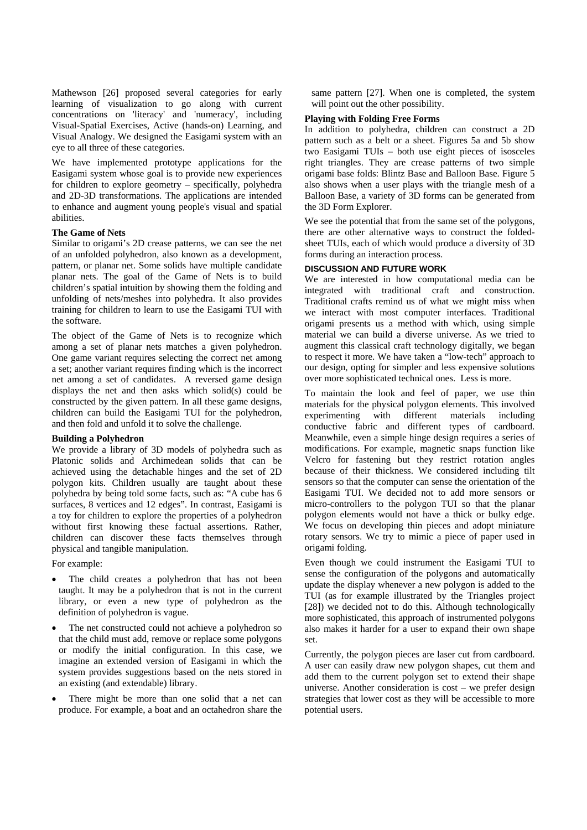Mathewson [26] proposed several categories for early learning of visualization to go along with current concentrations on 'literacy' and 'numeracy', including Visual-Spatial Exercises, Active (hands-on) Learning, and Visual Analogy. We designed the Easigami system with an eye to all three of these categories.

We have implemented prototype applications for the Easigami system whose goal is to provide new experiences for children to explore geometry – specifically, polyhedra and 2D-3D transformations. The applications are intended to enhance and augment young people's visual and spatial abilities.

## **The Game of Nets**

Similar to origami's 2D crease patterns, we can see the net of an unfolded polyhedron, also known as a development, pattern, or planar net. Some solids have multiple candidate planar nets. The goal of the Game of Nets is to build children's spatial intuition by showing them the folding and unfolding of nets/meshes into polyhedra. It also provides training for children to learn to use the Easigami TUI with the software.

The object of the Game of Nets is to recognize which among a set of planar nets matches a given polyhedron. One game variant requires selecting the correct net among a set; another variant requires finding which is the incorrect net among a set of candidates. A reversed game design displays the net and then asks which solid(s) could be constructed by the given pattern. In all these game designs, children can build the Easigami TUI for the polyhedron, and then fold and unfold it to solve the challenge.

# **Building a Polyhedron**

We provide a library of 3D models of polyhedra such as Platonic solids and Archimedean solids that can be achieved using the detachable hinges and the set of 2D polygon kits. Children usually are taught about these polyhedra by being told some facts, such as: "A cube has 6 surfaces, 8 vertices and 12 edges". In contrast, Easigami is a toy for children to explore the properties of a polyhedron without first knowing these factual assertions. Rather, children can discover these facts themselves through physical and tangible manipulation.

For example:

- The child creates a polyhedron that has not been taught. It may be a polyhedron that is not in the current library, or even a new type of polyhedron as the definition of polyhedron is vague.
- The net constructed could not achieve a polyhedron so that the child must add, remove or replace some polygons or modify the initial configuration. In this case, we imagine an extended version of Easigami in which the system provides suggestions based on the nets stored in an existing (and extendable) library.
- There might be more than one solid that a net can produce. For example, a boat and an octahedron share the

same pattern [27]. When one is completed, the system will point out the other possibility.

# **Playing with Folding Free Forms**

In addition to polyhedra, children can construct a 2D pattern such as a belt or a sheet. Figures 5a and 5b show two Easigami TUIs – both use eight pieces of isosceles right triangles. They are crease patterns of two simple origami base folds: Blintz Base and Balloon Base. Figure 5 also shows when a user plays with the triangle mesh of a Balloon Base, a variety of 3D forms can be generated from the 3D Form Explorer.

We see the potential that from the same set of the polygons, there are other alternative ways to construct the foldedsheet TUIs, each of which would produce a diversity of 3D forms during an interaction process.

## **DISCUSSION AND FUTURE WORK**

We are interested in how computational media can be integrated with traditional craft and construction. Traditional crafts remind us of what we might miss when we interact with most computer interfaces. Traditional origami presents us a method with which, using simple material we can build a diverse universe. As we tried to augment this classical craft technology digitally, we began to respect it more. We have taken a "low-tech" approach to our design, opting for simpler and less expensive solutions over more sophisticated technical ones. Less is more.

To maintain the look and feel of paper, we use thin materials for the physical polygon elements. This involved experimenting with different materials including conductive fabric and different types of cardboard. Meanwhile, even a simple hinge design requires a series of modifications. For example, magnetic snaps function like Velcro for fastening but they restrict rotation angles because of their thickness. We considered including tilt sensors so that the computer can sense the orientation of the Easigami TUI. We decided not to add more sensors or micro-controllers to the polygon TUI so that the planar polygon elements would not have a thick or bulky edge. We focus on developing thin pieces and adopt miniature rotary sensors. We try to mimic a piece of paper used in origami folding.

Even though we could instrument the Easigami TUI to sense the configuration of the polygons and automatically update the display whenever a new polygon is added to the TUI (as for example illustrated by the Triangles project [28]) we decided not to do this. Although technologically more sophisticated, this approach of instrumented polygons also makes it harder for a user to expand their own shape set.

Currently, the polygon pieces are laser cut from cardboard. A user can easily draw new polygon shapes, cut them and add them to the current polygon set to extend their shape universe. Another consideration is cost – we prefer design strategies that lower cost as they will be accessible to more potential users.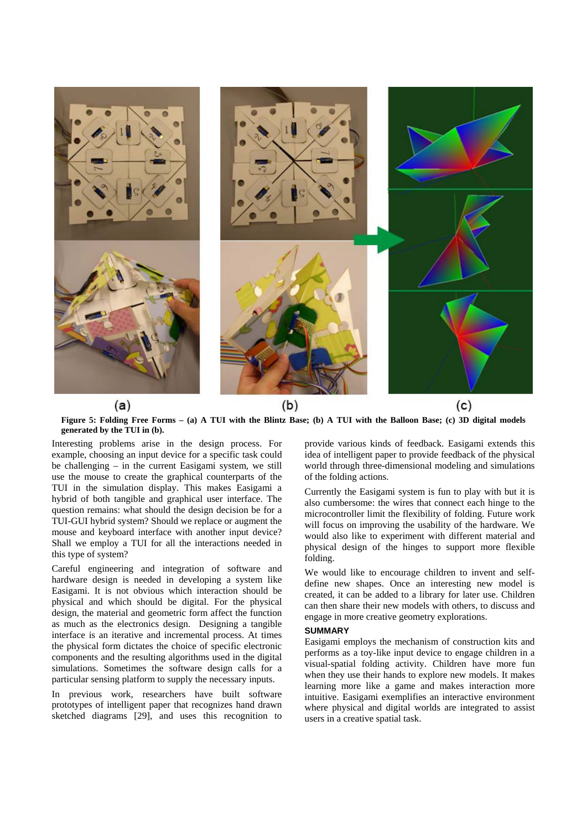

**Figure 5: Folding Free Forms – (a) A TUI with the Blintz Base; (b) A TUI with the Balloon Base; (c) 3D digital models generated by the TUI in (b).** 

Interesting problems arise in the design process. For example, choosing an input device for a specific task could be challenging – in the current Easigami system, we still use the mouse to create the graphical counterparts of the TUI in the simulation display. This makes Easigami a hybrid of both tangible and graphical user interface. The question remains: what should the design decision be for a TUI-GUI hybrid system? Should we replace or augment the mouse and keyboard interface with another input device? Shall we employ a TUI for all the interactions needed in this type of system?

Careful engineering and integration of software and hardware design is needed in developing a system like Easigami. It is not obvious which interaction should be physical and which should be digital. For the physical design, the material and geometric form affect the function as much as the electronics design. Designing a tangible interface is an iterative and incremental process. At times the physical form dictates the choice of specific electronic components and the resulting algorithms used in the digital simulations. Sometimes the software design calls for a particular sensing platform to supply the necessary inputs.

In previous work, researchers have built software prototypes of intelligent paper that recognizes hand drawn sketched diagrams [29], and uses this recognition to provide various kinds of feedback. Easigami extends this idea of intelligent paper to provide feedback of the physical world through three-dimensional modeling and simulations of the folding actions.

Currently the Easigami system is fun to play with but it is also cumbersome: the wires that connect each hinge to the microcontroller limit the flexibility of folding. Future work will focus on improving the usability of the hardware. We would also like to experiment with different material and physical design of the hinges to support more flexible folding.

We would like to encourage children to invent and selfdefine new shapes. Once an interesting new model is created, it can be added to a library for later use. Children can then share their new models with others, to discuss and engage in more creative geometry explorations.

## **SUMMARY**

Easigami employs the mechanism of construction kits and performs as a toy-like input device to engage children in a visual-spatial folding activity. Children have more fun when they use their hands to explore new models. It makes learning more like a game and makes interaction more intuitive. Easigami exemplifies an interactive environment where physical and digital worlds are integrated to assist users in a creative spatial task.